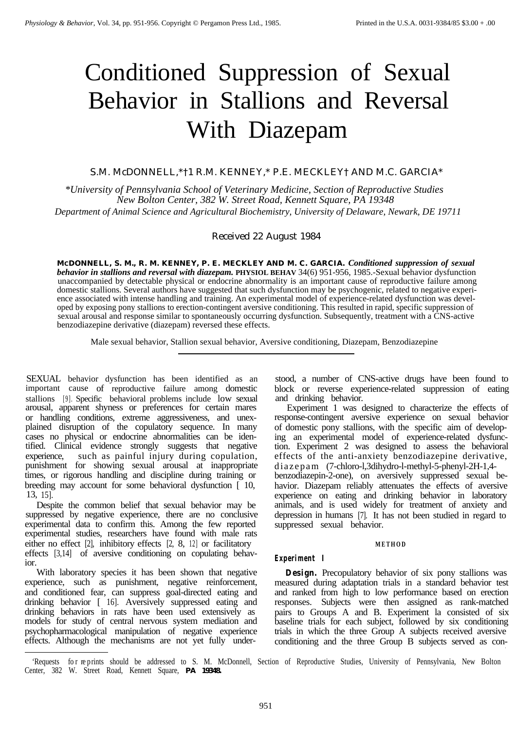# Conditioned Suppression of Sexual Behavior in Stallions and Reversal With Diazepam

# S.M. McDONNELL,\*†1 R.M. KENNEY,\* P.E. MECKLEY† AND M.C. GARCIA\*

*\*University of Pennsylvania School of Veterinary Medicine, Section of Reproductive Studies New Bolton Center, 382 W. Street Road, Kennett Square, PA 19348 Department of Animal Science and Agricultural Biochemistry, University of Delaware, Newark, DE 19711*

Received 22 August 1984

**MCDONNELL, S. M., R. M. KENNEY, P. E. MECKLEY AND M. C. GARCIA.** *Conditioned suppression of sexual behavior in stallions and reversal with diazepam.* **PHYSIOL BEHAV** 34(6) 951-956, 1985.-Sexual behavior dysfunction unaccompanied by detectable physical or endocrine abnormality is an important cause of reproductive failure among domestic stallions. Several authors have suggested that such dysfunction may be psychogenic, related to negative experience associated with intense handling and training. An experimental model of experience-related dysfunction was developed by exposing pony stallions to erection-contingent aversive conditioning. This resulted in rapid, specific suppression of sexual arousal and response similar to spontaneously occurring dysfunction. Subsequently, treatment with a CNS-active benzodiazepine derivative (diazepam) reversed these effects.

Male sexual behavior, Stallion sexual behavior, Aversive conditioning, Diazepam, Benzodiazepine

SEXUAL behavior dysfunction has been identified as an important cause of reproductive failure among domestic stallions [9]. Specific behavioral problems include low sexual arousal, apparent shyness or preferences for certain mares or handling conditions, extreme aggressiveness, and unexplained disruption of the copulatory sequence. In many cases no physical or endocrine abnormalities can be identified. Clinical evidence strongly suggests that negative experience, such as painful injury during copulation, punishment for showing sexual arousal at inappropriate times, or rigorous handling and discipline during training or breeding may account for some behavioral dysfunction [ 10, 13, 15].

Despite the common belief that sexual behavior may be suppressed by negative experience, there are no conclusive experimental data to confirm this. Among the few reported experimental studies, researchers have found with male rats either no effect [2], inhibitory effects [2, 8, 12] or facilitatory effects [3,14] of aversive conditioning on copulating behavior.

With laboratory species it has been shown that negative experience, such as punishment, negative reinforcement, and conditioned fear, can suppress goal-directed eating and drinking behavior [ 16]. Aversively suppressed eating and drinking behaviors in rats have been used extensively as models for study of central nervous system mediation and psychopharmacological manipulation of negative experience effects. Although the mechanisms are not yet fully under-

stood, a number of CNS-active drugs have been found to block or reverse experience-related suppression of eating and drinking behavior.

Experiment 1 was designed to characterize the effects of response-contingent aversive experience on sexual behavior of domestic pony stallions, with the specific aim of developing an experimental model of experience-related dysfunction. Experiment 2 was designed to assess the behavioral effects of the anti-anxiety benzodiazepine derivative, diazepam (7-chloro-l,3dihydro-l-methyl-5-phenyl-2H-1,4 benzodiazepin-2-one), on aversively suppressed sexual behavior. Diazepam reliably attenuates the effects of aversive experience on eating and drinking behavior in laboratory animals, and is used widely for treatment of anxiety and depression in humans [7]. It has not been studied in regard to suppressed sexual behavior.

#### **METHOD**

# *Experiment I*

**Design.** Precopulatory behavior of six pony stallions was measured during adaptation trials in a standard behavior test and ranked from high to low performance based on erection responses. Subjects were then assigned as rank-matched pairs to Groups A and B. Experiment la consisted of six baseline trials for each subject, followed by six conditioning trials in which the three Group A subjects received aversive conditioning and the three Group B subjects served as con-

<sup>&#</sup>x27;Requests for reprints should be addressed to S. M. McDonnell, Section of Reproductive Studies, University of Pennsylvania, New Bolton Center, 382 W. Street Road, Kennett Square, **PA 19348.**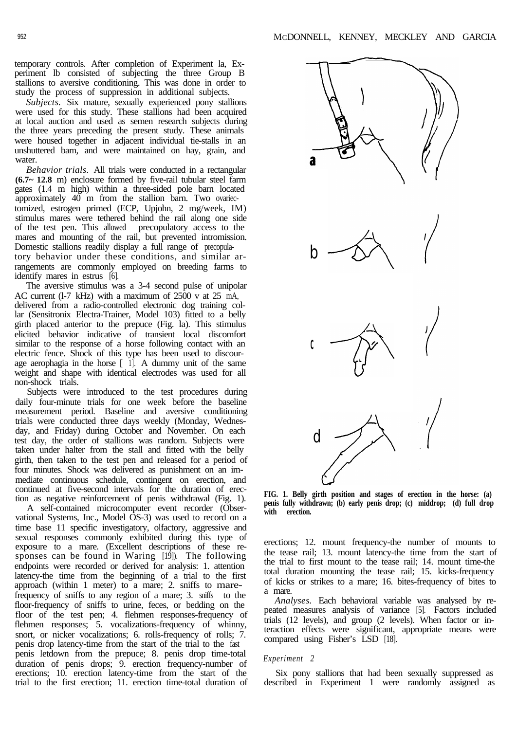temporary controls. After completion of Experiment la, Experiment lb consisted of subjecting the three Group B stallions to aversive conditioning. This was done in order to study the process of suppression in additional subjects.

*Subjects.* Six mature, sexually experienced pony stallions were used for this study. These stallions had been acquired at local auction and used as semen research subjects during the three years preceding the present study. These animals were housed together in adjacent individual tie-stalls in an unshuttered barn, and were maintained on hay, grain, and water.

*Behavior trials.* All trials were conducted in a rectangular **(6.7~ 12.8** m) enclosure formed by five-rail tubular steel farm gates (1.4 m high) within a three-sided pole barn located approximately 40 m from the stallion barn. Two ovariectomized, estrogen primed (ECP, Upjohn, 2 mg/week, IM) stimulus mares were tethered behind the rail along one side of the test pen. This allowed precopulatory access to the mares and mounting of the rail, but prevented intromission. Domestic stallions readily display a full range of precopula-

tory behavior under these conditions, and similar arrangements are commonly employed on breeding farms to identify mares in estrus [6].

The aversive stimulus was a 3-4 second pulse of unipolar AC current (l-7 kHz) with a maximum of 2500 v at 25 mA, delivered from a radio-controlled electronic dog training collar (Sensitronix Electra-Trainer, Model 103) fitted to a belly girth placed anterior to the prepuce (Fig. la). This stimulus elicited behavior indicative of transient local discomfort similar to the response of a horse following contact with an electric fence. Shock of this type has been used to discourage aerophagia in the horse [ 1]. A dummy unit of the same weight and shape with identical electrodes was used for all non-shock trials.

Subjects were introduced to the test procedures during daily four-minute trials for one week before the baseline measurement period. Baseline and aversive conditioning trials were conducted three days weekly (Monday, Wednesday, and Friday) during October and November. On each test day, the order of stallions was random. Subjects were taken under halter from the stall and fitted with the belly girth, then taken to the test pen and released for a period of four minutes. Shock was delivered as punishment on an immediate continuous schedule, contingent on erection, and continued at five-second intervals for the duration of erection as negative reinforcement of penis withdrawal (Fig. 1).

A self-contained microcomputer event recorder (Observational Systems, Inc., Model OS-3) was used to record on a time base 11 specific investigatory, olfactory, aggressive and sexual responses commonly exhibited during this type of exposure to a mare. (Excellent descriptions of these responses can be found in Waring [19]). The following endpoints were recorded or derived for analysis: 1. attention latency-the time from the beginning of a trial to the first approach (within 1 meter) to a mare; 2. sniffs to marefrequency of sniffs to any region of a mare; 3. sniffs to the floor-frequency of sniffs to urine, feces, or bedding on the floor of the test pen; 4. flehmen responses-frequency of flehmen responses; 5. vocalizations-frequency of whinny, snort, or nicker vocalizations; 6. rolls-frequency of rolls; 7. penis drop latency-time from the start of the trial to the fast penis letdown from the prepuce; 8. penis drop time-total duration of penis drops; 9. erection frequency-number of erections; 10. erection latency-time from the start of the trial to the first erection; 11. erection time-total duration of



**FIG. 1. Belly girth position and stages of erection in the horse: (a) penis fully withdrawn; (b) early penis drop; (c) middrop; (d) full drop with erection.**

erections; 12. mount frequency-the number of mounts to the tease rail; 13. mount latency-the time from the start of the trial to first mount to the tease rail; 14. mount time-the total duration mounting the tease rail; 15. kicks-frequency of kicks or strikes to a mare; 16. bites-frequency of bites to a mare.

*Analyses.* Each behavioral variable was analysed by repeated measures analysis of variance [5]. Factors included trials (12 levels), and group (2 levels). When factor or interaction effects were significant, appropriate means were compared using Fisher's LSD [18].

# *Experiment 2*

Six pony stallions that had been sexually suppressed as described in Experiment 1 were randomly assigned as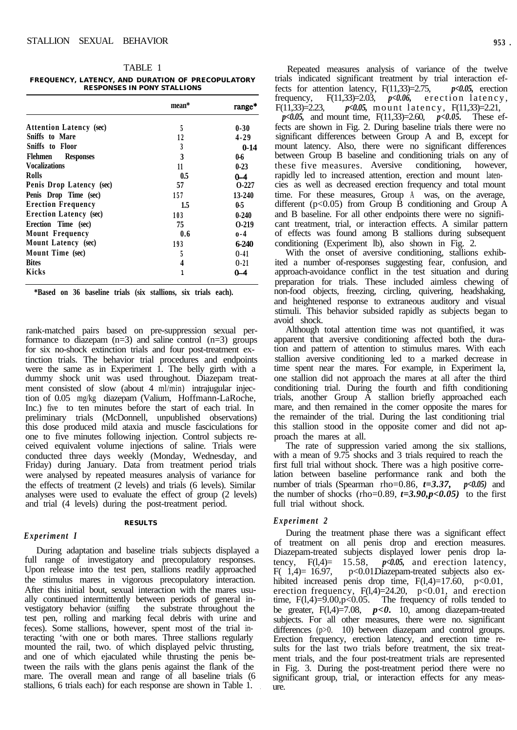TABLE 1 **FREQUENCY, LATENCY, AND DURATION OF PRECOPULATORY RESPONSES IN PONY STALLIONS**

|                                | mean* | range*    |
|--------------------------------|-------|-----------|
| <b>Attention Latency (sec)</b> | 5     | $0 - 30$  |
| Sniffs to Mare                 | 12    | $4 - 29$  |
| Sniffs to Floor                | 3     | $0-14$    |
| Flehmen<br><b>Responses</b>    | 3     | 0-6       |
| <b>Vocalizations</b>           | 11    | $0 - 23$  |
| Rolls                          | 0.5   | $0 - 4$   |
| Penis Drop Latency (sec)       | 57    | $0 - 227$ |
| Penis Drop Time (sec)          | 157   | 13-240    |
| <b>Erection Frequency</b>      | 1.5   | 0.5       |
| <b>Erection Latency (sec)</b>  | 103   | $0 - 240$ |
| Erection Time (sec)            | 75    | $0-219$   |
| <b>Mount Frequency</b>         | 0.6   | $0 - 4$   |
| Mount Latency (sec)            | 193   | 6-240     |
| Mount Time (sec)               | 5     | $0-41$    |
| <b>Bites</b>                   | 4     | $0 - 21$  |
| <b>Kicks</b>                   | 1     | ቢ 4       |

**\*Based on 36 baseline trials (six stallions, six trials each).**

rank-matched pairs based on pre-suppression sexual performance to diazepam  $(n=3)$  and saline control  $(n=3)$  groups for six no-shock extinction trials and four post-treatment extinction trials. The behavior trial procedures and endpoints were the same as in Experiment 1. The belly girth with a dummy shock unit was used throughout. Diazepam treatment consisted of slow (about 4 ml/min) intrajugular injection of 0.05 mg/kg diazepam (Valium, Hoffmann-LaRoche, Inc.) five to ten minutes before the start of each trial. In preliminary trials (McDonnell, unpublished observations) this dose produced mild ataxia and muscle fasciculations for one to five minutes following injection. Control subjects received equivalent volume injections of saline. Trials were conducted three days weekly (Monday, Wednesday, and Friday) during January. Data from treatment period trials were analysed by repeated measures analysis of variance for the effects of treatment (2 levels) and trials (6 levels). Similar analyses were used to evaluate the effect of group (2 levels) and trial (4 levels) during the post-treatment period.

# **RESULTS**

*Experiment I*

During adaptation and baseline trials subjects displayed a full range of investigatory and precopulatory responses. Upon release into the test pen, stallions readily approached the stimulus mares in vigorous precopulatory interaction. After this initial bout, sexual interaction with the mares usually continued intermittently between periods of general investigatory behavior (sniffing the substrate throughout the test pen, rolling and marking fecal debris with urine and feces). Some stallions, however, spent most of the trial interacting 'with one or both mares. Three stallions regularly mounted the rail, two. of which displayed pelvic thrusting, and one of which ejaculated while thrusting the penis between the rails with the glans penis against the flank of the mare. The overall mean and range of all baseline trials (6 stallions, 6 trials each) for each response are shown in Table 1. .

Repeated measures analysis of variance of the twelve trials indicated significant treatment by trial interaction effects for attention latency,  $F(11,33)=2.75$ ,  $p<0.05$ , erection fects for attention latency,  $F(11,33)=2.75$ , frequency, F(11,33)=2.03, *p<0.06,* erection latency, F(11,33)=2.23, *p<0.05,* mount latency, F(11,33)=2.21, *p<0.05,* and mount time, F(11,33)=2.60, *p<0.05.* These effects are shown in Fig. 2. During baseline trials there were no significant differences between Group A and B, except for mount latency. Also, there were no significant differences between Group B baseline and conditioning trials on any of these five measures. Aversive conditioning, however, rapidly led to increased attention, erection and mount latencies as well as decreased erection frequency and total mount time. For these measures, Group A was, on the average, different ( $p$ <0.05) from Group  $\hat{B}$  conditioning and Group A and B baseline. For all other endpoints there were no significant treatment, trial, or interaction effects. A similar pattern of effects was found among B stallions during subsequent conditioning (Experiment lb), also shown in Fig. 2.

With the onset of aversive conditioning, stallions exhibited a number of-responses suggesting fear, confusion, and approach-avoidance conflict in the test situation and during preparation for trials. These included aimless chewing of non-food objects, freezing, circling, quivering, headshaking, and heightened response to extraneous auditory and visual stimuli. This behavior subsided rapidly as subjects began to avoid shock.

Although total attention time was not quantified, it was apparent that aversive conditioning affected both the duration and pattern of attention to stimulus mares. With each stallion aversive conditioning led to a marked decrease in time spent near the mares. For example, in Experiment la, one stallion did not approach the mares at all after the third conditioning trial. During the fourth and fifth conditioning trials, another Group A stallion briefly approached each mare, and then remained in the comer opposite the mares for the remainder of the trial. During the last conditioning trial this stallion stood in the opposite comer and did not approach the mares at all.

The rate of suppression varied among the six stallions, with a mean of  $9.75$  shocks and 3 trials required to reach the first full trial without shock. There was a high positive correlation between baseline performance rank and both the number of trials (Spearman rho=0.86,  $t=3.37$ ,  $p<0.05$ ) and the number of shocks (rho=0.89,  $t=3.90, p<0.05$ ) to the first full trial without shock.

#### *Experiment 2*

During the treatment phase there was a significant effect of treatment on all penis drop and erection measures. Diazepam-treated subjects displayed lower penis drop latency,  $F(1,4)= 15.58$ ,  $p<0.05$ , and erection latency, F( $1,4$ )= 16.97, p<0.01Diazepam-treated subjects also exhibited increased penis drop time,  $F(1,4)=17.60$ ,  $p<0.01$ , erection frequency,  $F(1,4)=24.20$ ,  $p<0.01$ , and erection time,  $F(1,4)=9.00, p<0.05$ . The frequency of rolls tended to be greater, F(l,4)=7.08, *p<0.* 10, among diazepam-treated subjects. For all other measures, there were no. significant differences (p>0. 10) between diazepam and control groups. Erection frequency, erection latency, and erection time results for the last two trials before treatment, the six treatment trials, and the four post-treatment trials are represented in Fig. 3. During the post-treatment period there were no significant group, trial, or interaction effects for any measure.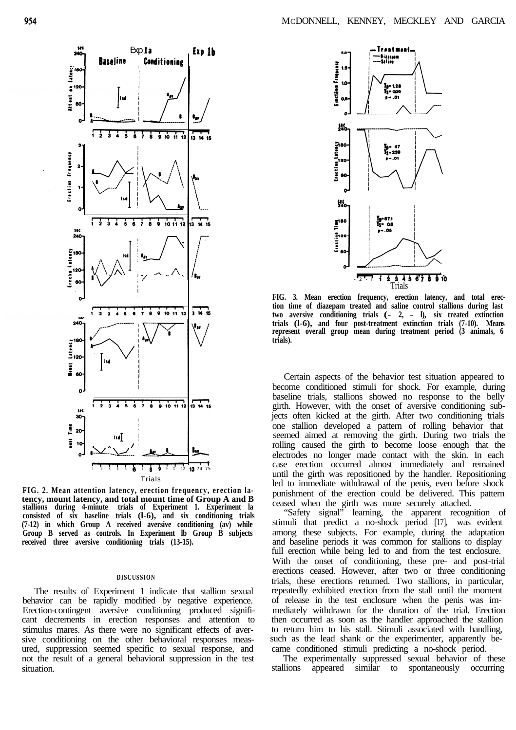

**FIG. 2. Mean attention latency, erection frequency, erection latency, mount latency, and total mount time of Group A and B stallions during 4-minute trials of Experiment 1. Experiment la consisted of six baseline trials (l-6), and six conditioning trials (7-12) in which Group A received aversive conditioning (av) while Group B served as controls. In Experiment lb Group B subjects received three aversive conditioning trials (13-15).**

#### **DISCUSSION**

The results of Experiment 1 indicate that stallion sexual behavior can be rapidly modified by negative experience. Erection-contingent aversive conditioning produced significant decrements in erection responses and attention to stimulus mares. As there were no significant effects of aversive conditioning on the other behavioral responses measured, suppression seemed specific to sexual response, and not the result of a general behavioral suppression in the test situation.



**FIG. 3. Mean erection frequency, erection latency, and total erection time of diazepam treated and saline control stallions during last two aversive conditioning trials (- 2, - l), six treated extinction trials (l-6), and four post-treatment extinction trials (7-10). Means represent overall group mean during treatment period (3 animals, 6 trials).**

Certain aspects of the behavior test situation appeared to become conditioned stimuli for shock. For example, during baseline trials, stallions showed no response to the belly girth. However, with the onset of aversive conditioning subjects often kicked at the girth. After two conditioning trials one stallion developed a pattern of rolling behavior that seemed aimed at removing the girth. During two trials the rolling caused the girth to become loose enough that the electrodes no longer made contact with the skin. In each case erection occurred almost immediately and remained until the girth was repositioned by the handler. Repositioning led to immediate withdrawal of the penis, even before shock punishment of the erection could be delivered. This pattern ceased when the girth was more securely attached.

"Safety signal" learning, the apparent recognition of stimuli that predict a no-shock period [17], was evident among these subjects. For example, during the adaptation and baseline periods it was common for stallions to display full erection while being led to and from the test enclosure. With the onset of conditioning, these pre- and post-trial erections ceased. However, after two or three conditioning trials, these erections returned. Two stallions, in particular, repeatedly exhibited erection from the stall until the moment of release in the test enclosure when the penis was immediately withdrawn for the duration of the trial. Erection then occurred as soon as the handler approached the stallion to return him to his stall. Stimuli associated with handling, such as the lead shank or the experimenter, apparently became conditioned stimuli predicting a no-shock period.

The experimentally suppressed sexual behavior of these stallions appeared similar to spontaneously occurring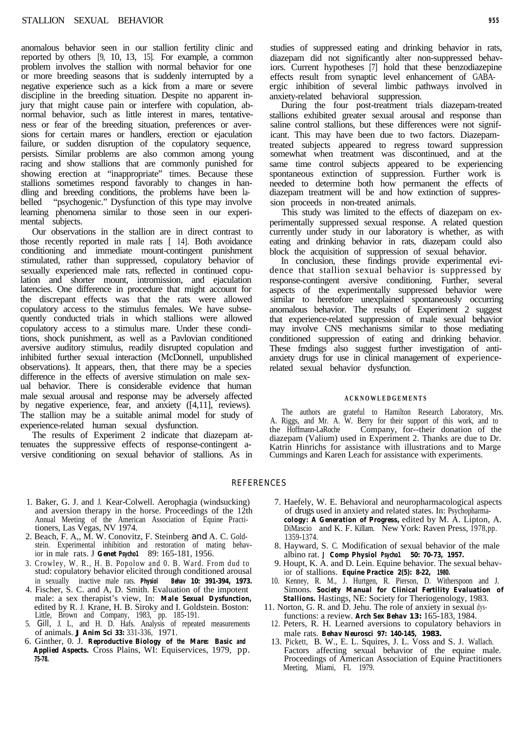anomalous behavior seen in our stallion fertility clinic and reported by others [9, 10, 13, 15]. For example, a common problem involves the stallion with normal behavior for one or more breeding seasons that is suddenly interrupted by a negative experience such as a kick from a mare or severe discipline in the breeding situation. Despite no apparent injury that might cause pain or interfere with copulation, abnormal behavior, such as little interest in mares, tentativeness or fear of the breeding situation, preferences or aversions for certain mares or handlers, erection or ejaculation failure, or sudden disruption of the copulatory sequence, persists. Similar problems are also common among young racing and show stallions that are commonly punished for showing erection at "inappropriate" times. Because these stallions sometimes respond favorably to changes in handling and breeding conditions, the problems have been labelled "psychogenic." Dysfunction of this type may involve learning phenomena similar to those seen in our experimental subjects.

Our observations in the stallion are in direct contrast to those recently reported in male rats [ 14]. Both avoidance conditioning and immediate mount-contingent punishment stimulated, rather than suppressed, copulatory behavior of sexually experienced male rats, reflected in continued copulation and shorter mount, intromission, and ejaculation latencies. One difference in procedure that might account for the discrepant effects was that the rats were allowed copulatory access to the stimulus females. We have subsequently conducted trials in which stallions were allowed copulatory access to a stimulus mare. Under these conditions, shock punishment, as well as a Pavlovian conditioned aversive auditory stimulus, readily disrupted copulation and inhibited further sexual interaction (McDonnell, unpublished observations). It appears, then, that there may be a species difference in the effects of aversive stimulation on male sexual behavior. There is considerable evidence that human male sexual arousal and response may be adversely affected by negative experience, fear, and anxiety ([4,11], reviews). The stallion may be a suitable animal model for study of experience-related human sexual dysfunction.

The results of Experiment 2 indicate that diazepam attenuates the suppressive effects of response-contingent aversive conditioning on sexual behavior of stallions. As in

studies of suppressed eating and drinking behavior in rats, diazepam did not significantly alter non-suppressed behaviors. Current hypotheses [7] hold that these benzodiazepine effects result from synaptic level enhancement of GABAergic inhibition of several limbic pathways involved in anxiety-related behavioral suppression.

During the four post-treatment trials diazepam-treated stallions exhibited greater sexual arousal and response than saline control stallions, but these differences were not significant. This may have been due to two factors. Diazepamtreated subjects appeared to regress toward suppression somewhat when treatment was discontinued, and at the same time control subjects appeared to be experiencing spontaneous extinction of suppression. Further work is needed to determine both how permanent the effects of diazepam treatment will be and how extinction of suppression proceeds in non-treated animals.

This study was limited to the effects of diazepam on experimentally suppressed sexual response. A related question currently under study in our laboratory is whether, as with eating and drinking behavior in rats, diazepam could also block the acquisition of suppression of sexual behavior.

In conclusion, these findings provide experimental evidence that stallion sexual behavior is suppressed by response-contingent aversive conditioning. Further, several aspects of the experimentally suppressed behavior were similar to heretofore unexplained spontaneously occurring anomalous behavior. The results of Experiment 2 suggest that experience-related suppression of male sexual behavior may involve CNS mechanisms similar to those mediating conditioned suppression of eating and drinking behavior. These findings also suggest further investigation of antianxiety drugs for use in clinical management of experiencerelated sexual behavior dysfunction.

#### **ACKNOWLEDGEMENTS**

The authors are grateful to Hamilton Research Laboratory, Mrs. A. Riggs, and Mr. A. W. Berry for their support of this work, and to the Hoffmann-LaRoche Company, for--their donation of the diazepam (Valium) used in Experiment 2. Thanks are due to Dr. Katrin Hinrichs for assistance with illustrations and to Marge Cummings and Karen Leach for assistance with experiments.

#### REFERENCES

- and aversion therapy in the horse. Proceedings of the 12th
- 2. Beach, F. A., M. W. Conovitz, F. Steinberg and A. C. Goldstein. Experimental inhibition and restoration of mating behavstein. Experimental inhibition and restoration of mating behav-<br>
ior in male rats. J Genet Psychol 89: 165-181, 1956.<br>
albino rat. J Comp Physiol Psychol 50: 70-73, 1957. ior in male rats. J **Genet Psycho1** 89: 165-181, 1956.<br>3. Crowley, W. R., H. B. Popolow and 0. B. Ward. From dud to 9. Houpt, K. A. and D. Lein. Equine behavior. The sex
- stud: copulatory behavior elicited through conditioned arousal
- male: a sex therapist's view, In: *Male Sexual Dysfunction*, edited by R. J. Krane, H. B. Siroky and I. Goldstein. Boston: edited by R. J. Krane, H. B. Siroky and I. Goldstein. Boston: 11. Norton, G. R. and D. Jehu. The role of anxiety in sexual dys-<br>Little, Brown and Company, 1983, pp. 185-191. functions: a review. **Arch Sex Behav 13:** 165-18
- 5. Gill, J. L, and H. D. Hafs. Analysis of repeated measurements of animals. **J Anim Sci 33:** 331-336, 1971.
- 6. Ginther, 0. J. *Reproductive Biology of the Mare: Basic and Applied Aspects. Cross Plains, WI: Equiservices, 1979, pp.*
- 1. Baker, G. J. and J. Kear-Colwell. Aerophagia (windsucking) 7. Haefely, W. E. Behavioral and neuropharmacological aspects and aversion therapy in the horse. Proceedings of the 12th of drugs used in anxiety and related st Annual Meeting of the American Association of Equine Practi- *cology: A Generation of Progress,* edited by M. A. Lipton, A. DiMascio and K. F. Killam. New York: Raven Press, 1978,pp. 1359-1374.
	-
	- 9. Houpt, K. A. and D. Lein. Equine behavior. The sexual behavior of stallions. **Equine Practice**  $2(5)$ **:** 8-22, 1980.
- in sexually inactive male rats. *Physiol Behav* **10: 391-394, 1973.** 10. Kenney, R. M., J. Hurtgen, R. Pierson, D. Witherspoon and J. 4. Fischer, S. C. and A, D. Smith. Evaluation of the impotent Simons. *Society Manual for Clinical Fertility Evaluation of*
	-
	- functions: a review. *Arch Sex Behav* 13: 165-183, 1984. <sup>*I*</sup> 12. Peters, R. H. Learned aversions to copulatory behaviors in male rats. *Behav Neurosci 97:* **140-145, 1983.**<br>13. Pickett, B. W., E. L. Squires, J. L. Voss and S. J. Wallach.
	- *Applied Aspects.* Cross Plains, WI: Equiservices, 1979, pp. Factors affecting sexual behavior of the equine male.<br>Proceedings of American Association of Equine Practitioners **75-78.** Proceedings of American Association of Equine Practitioners Meeting, Miami, FL 1979.